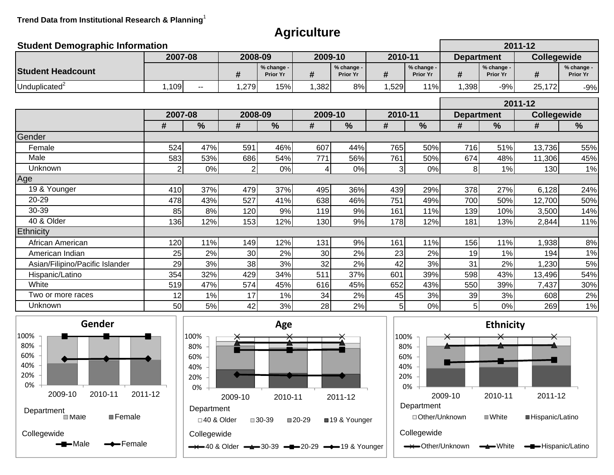### **Trend Data from Institutional Research & Planning**<sup>1</sup>

## **Agriculture**

| <b>Student Demographic Information</b> |         |               |         |                        |       |                        |       |                        | 2011-12 |                        |        |                        |  |
|----------------------------------------|---------|---------------|---------|------------------------|-------|------------------------|-------|------------------------|---------|------------------------|--------|------------------------|--|
|                                        | 2007-08 |               | 2008-09 |                        |       | 2009-10                |       | 2010-11                |         | <b>Department</b>      |        | Collegewide            |  |
| <b>Student Headcount</b>               |         |               | #       | % change -<br>Prior Yr | #     | % change -<br>Prior Yr | #     | % change -<br>Prior Yr | #       | % change -<br>Prior Yr | #      | % change -<br>Prior Yr |  |
| Unduplicated <sup>2</sup>              | 1,109   | $- -$         | 1,279   | 15%                    | 1,382 | 8%                     | 1,529 | 11%                    | 1,398   | $-9%$                  | 25,172 | $-9%$                  |  |
|                                        |         |               |         |                        |       |                        |       |                        | 2011-12 |                        |        |                        |  |
|                                        | 2007-08 |               |         | 2008-09                |       | 2009-10                |       | 2010-11                |         | <b>Department</b>      |        | Collegewide            |  |
|                                        | #       | $\frac{9}{6}$ | #       | $\frac{0}{0}$          | #     | %                      | #     | $\frac{0}{0}$          | #       | $\frac{0}{0}$          | #      | %                      |  |
| Gender                                 |         |               |         |                        |       |                        |       |                        |         |                        |        |                        |  |
| Female                                 | 524     | 47%           | 591     | 46%                    | 607   | 44%                    | 765   | 50%                    | 716     | 51%                    | 13,736 | 55%                    |  |
| Male                                   | 583     | 53%           | 686     | 54%                    | 771   | 56%                    | 761   | 50%                    | 674     | 48%                    | 11,306 | 45%                    |  |
| Unknown                                | 2       | 0%            | 2       | 0%                     | 4     | 0%                     | 3     | 0%                     | 8       | 1%                     | 130    | 1%                     |  |
| Age                                    |         |               |         |                        |       |                        |       |                        |         |                        |        |                        |  |
| 19 & Younger                           | 410     | 37%           | 479     | 37%                    | 495   | 36%                    | 439   | 29%                    | 378     | 27%                    | 6,128  | 24%                    |  |
| 20-29                                  | 478     | 43%           | 527     | 41%                    | 638   | 46%                    | 751   | 49%                    | 700     | 50%                    | 12,700 | 50%                    |  |
| 30-39                                  | 85      | 8%            | 120     | 9%                     | 119   | $9%$                   | 161   | 11%                    | 139     | 10%                    | 3,500  | 14%                    |  |
| 40 & Older                             | 136     | 12%           | 153     | 12%                    | 130   | 9%                     | 178   | 12%                    | 181     | 13%                    | 2,844  | 11%                    |  |
| <b>Ethnicity</b>                       |         |               |         |                        |       |                        |       |                        |         |                        |        |                        |  |
| African American                       | 120     | 11%           | 149     | 12%                    | 131   | 9%                     | 161   | 11%                    | 156     | 11%                    | 1,938  | $8%$                   |  |
| American Indian                        | 25      | 2%            | 30      | 2%                     | 30    | 2%                     | 23    | 2%                     | 19      | 1%                     | 194    | 1%                     |  |
| Asian/Filipino/Pacific Islander        | 29      | 3%            | 38      | 3%                     | 32    | 2%                     | 42    | 3%                     | 31      | 2%                     | 1,230  | 5%                     |  |
| Hispanic/Latino                        | 354     | 32%           | 429     | 34%                    | 511   | 37%                    | 601   | 39%                    | 598     | 43%                    | 13,496 | 54%                    |  |
| White                                  | 519     | 47%           | 574     | 45%                    | 616   | 45%                    | 652   | 43%                    | 550     | 39%                    | 7,437  | 30%                    |  |
| Two or more races                      | 12      | 1%            | 17      | 1%                     | 34    | 2%                     | 45    | 3%                     | 39      | 3%                     | 608    | 2%                     |  |
| Unknown                                | 50      | 5%            | 42      | 3%                     | 28    | 2%                     | 5     | 0%                     | 5       | 0%                     | 269    | 1%                     |  |





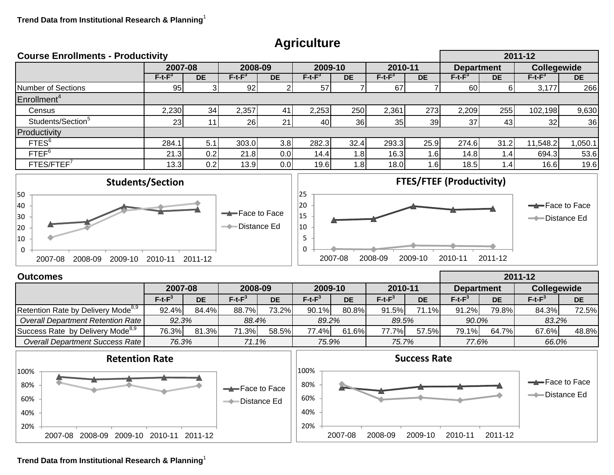# **Agriculture**

| <b>Course Enrollments - Productivity</b> |           |                  |          |           |           |           |           |           | 2011-12           |                  |             |           |
|------------------------------------------|-----------|------------------|----------|-----------|-----------|-----------|-----------|-----------|-------------------|------------------|-------------|-----------|
|                                          | 2007-08   |                  | 2008-09  |           | 2009-10   |           | 2010-11   |           | <b>Department</b> |                  | Collegewide |           |
|                                          | $F-t-F^3$ | <b>DE</b>        | $F-t-F3$ | <b>DE</b> | $F-t-F^3$ | <b>DE</b> | $F-t-F^3$ | <b>DE</b> | $F-t-F^3$         | <b>DE</b>        | $F-t-F^3$   | <b>DE</b> |
| <b>Number of Sections</b>                | 95        |                  | 92       |           | 57        |           | 67        |           | 60                | b                | 3,177       | 266       |
| Enrollment <sup>4</sup>                  |           |                  |          |           |           |           |           |           |                   |                  |             |           |
| Census                                   | 2,230     | 34               | 2,357    | 41        | 2,253     | 250       | 2,361     | 273       | 2,209             | 255              | 102,198     | 9,630     |
| Students/Section <sup>5</sup>            | 23        |                  | 26       | 21        | 40        | 36        | 35        | 39        | 37                | 43               | 32          | 36        |
| Productivity                             |           |                  |          |           |           |           |           |           |                   |                  |             |           |
| FTES <sup>6</sup>                        | 284.1     | 5.1              | 303.0    | 3.8       | 282.3     | 32.4      | 293.3     | 25.9      | 274.6             | 31.2             | 11,548.2    | 1,050.1   |
| FTEF <sup>6</sup>                        | 21.3      | 0.2 <sub>l</sub> | 21.8     | 0.0       | 14.4      | 1.8       | 16.3      | 1.6I      | 14.8              | 1.4 <sub>1</sub> | 694.3       | 53.6      |
| FTES/FTEF <sup>7</sup>                   | 13.3      | 0.2              | 13.9     | 0.0       | 19.6      | 1.8       | 18.0      | ا6.،      | 18.5              | 1.4 <sub>1</sub> | 16.6        | 19.6      |
|                                          |           |                  |          |           |           |           |           |           |                   |                  |             |           |





| <b>Outcomes</b>                                |          |           |           |       |                    |           |          |                   |          | 2011-12     |          |           |  |  |
|------------------------------------------------|----------|-----------|-----------|-------|--------------------|-----------|----------|-------------------|----------|-------------|----------|-----------|--|--|
|                                                | 2007-08  |           | 2008-09   |       | 2009-10<br>2010-11 |           |          | <b>Department</b> |          | Collegewide |          |           |  |  |
|                                                | $F-t-F3$ | <b>DE</b> | $F-t-F^3$ | DE    | $F-t-F3$           | <b>DE</b> | $F-t-F3$ | DE                | $F-t-F3$ | <b>DE</b>   | $F-t-F3$ | <b>DE</b> |  |  |
| Retention Rate by Delivery Mode <sup>8,9</sup> | 92.4%    | 84.4%     | 88.7%     | 73.2% | 90.1%              | 80.8%     | 91.5%    | 71.1%             | 91.2%    | 79.8%       | 84.3%    | 72.5%     |  |  |
| Overall Department Retention Rate              | 92.3%    |           | 88.4%     |       | 89.2%              |           | 89.5%    |                   | 90.0%    |             | 83.2%    |           |  |  |
| Success Rate by Delivery Mode <sup>8,9</sup>   | 76.3%    | 81.3%     | 71.3%     | 58.5% | 77.4%              | 61.6%     | 77.7%I   | 57.5%             | 79.1%    | 64.7%       | 67.6%    | 48.8%     |  |  |
| Overall Department Success Rate                | 76.3%    |           | 71.1%     |       | 75.9%              |           | 75.7%    |                   | 77.6%    |             | 66.0%    |           |  |  |



#### **Trend Data from Institutional Research & Planning**<sup>1</sup>